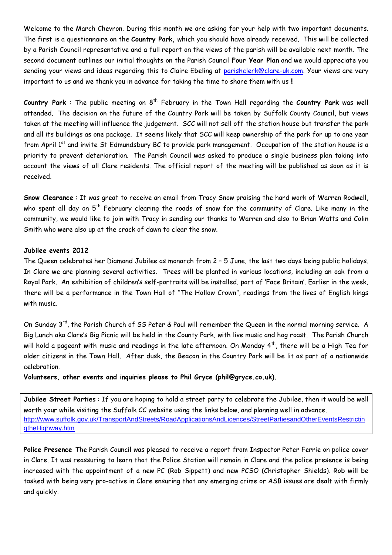Welcome to the March Chevron. During this month we are asking for your help with two important documents. The first is a questionnaire on the Country Park, which you should have already received. This will be collected by a Parish Council representative and a full report on the views of the parish will be available next month. The second document outlines our initial thoughts on the Parish Council Four Year Plan and we would appreciate you sending your views and ideas regarding this to Claire Ebeling at parishclerk@clare-uk.com. Your views are very important to us and we thank you in advance for taking the time to share them with us !!

Country Park : The public meeting on  $8<sup>th</sup>$  February in the Town Hall regarding the Country Park was well attended. The decision on the future of the Country Park will be taken by Suffolk County Council, but views taken at the meeting will influence the judgement. SCC will not sell off the station house but transfer the park and all its buildings as one package. It seems likely that SCC will keep ownership of the park for up to one year from April 1<sup>st</sup> and invite St Edmundsbury BC to provide park management. Occupation of the station house is a priority to prevent deterioration. The Parish Council was asked to produce a single business plan taking into account the views of all Clare residents. The official report of the meeting will be published as soon as it is received.

Snow Clearance : It was great to receive an email from Tracy Snow praising the hard work of Warren Rodwell, who spent all day on 5<sup>th</sup> February clearing the roads of snow for the community of Clare. Like many in the community, we would like to join with Tracy in sending our thanks to Warren and also to Brian Watts and Colin Smith who were also up at the crack of dawn to clear the snow.

## Jubilee events 2012

The Queen celebrates her Diamond Jubilee as monarch from 2 – 5 June, the last two days being public holidays. In Clare we are planning several activities. Trees will be planted in various locations, including an oak from a Royal Park. An exhibition of children's self-portraits will be installed, part of 'Face Britain'. Earlier in the week, there will be a performance in the Town Hall of "The Hollow Crown", readings from the lives of English kings with music.

On Sunday 3<sup>rd</sup>, the Parish Church of SS Peter & Paul will remember the Queen in the normal morning service. A Big Lunch aka Clare's Big Picnic will be held in the County Park, with live music and hog roast. The Parish Church will hold a pageant with music and readings in the late afternoon. On Monday 4<sup>th</sup>, there will be a High Tea for older citizens in the Town Hall. After dusk, the Beacon in the Country Park will be lit as part of a nationwide celebration.

Volunteers, other events and inquiries please to Phil Gryce (phil@gryce.co.uk).

Jubilee Street Parties : If you are hoping to hold a street party to celebrate the Jubilee, then it would be well worth your while visiting the Suffolk CC website using the links below, and planning well in advance. http://www.suffolk.gov.uk/TransportAndStreets/RoadApplicationsAndLicences/StreetPartiesandOtherEventsRestrictin gtheHighway.htm

Police Presence The Parish Council was pleased to receive a report from Inspector Peter Ferrie on police cover in Clare. It was reassuring to learn that the Police Station will remain in Clare and the police presence is being increased with the appointment of a new PC (Rob Sippett) and new PCSO (Christopher Shields). Rob will be tasked with being very pro-active in Clare ensuring that any emerging crime or ASB issues are dealt with firmly and quickly.